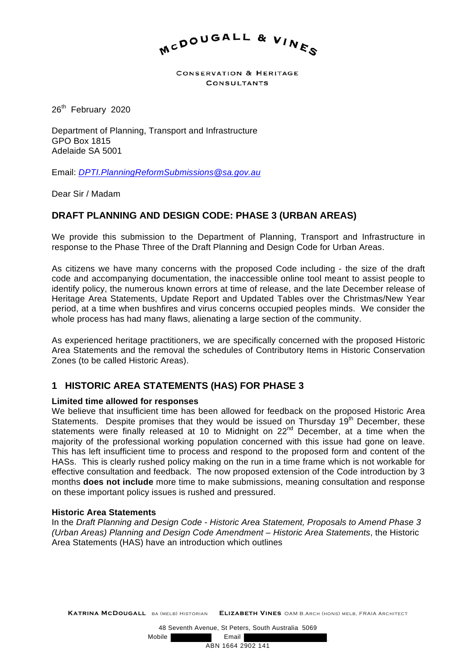

**CONSERVATION & HERITAGE CONSULTANTS** 

26<sup>th</sup> February 2020

Department of Planning, Transport and Infrastructure GPO Box 1815 Adelaide SA 5001

Email: *DPTI.PlanningReformSubmissions@sa.gov.au* 

Dear Sir / Madam

## **DRAFT PLANNING AND DESIGN CODE: PHASE 3 (URBAN AREAS)**

We provide this submission to the Department of Planning, Transport and Infrastructure in response to the Phase Three of the Draft Planning and Design Code for Urban Areas.

As citizens we have many concerns with the proposed Code including - the size of the draft code and accompanying documentation, the inaccessible online tool meant to assist people to identify policy, the numerous known errors at time of release, and the late December release of Heritage Area Statements, Update Report and Updated Tables over the Christmas/New Year period, at a time when bushfires and virus concerns occupied peoples minds. We consider the whole process has had many flaws, alienating a large section of the community.

As experienced heritage practitioners, we are specifically concerned with the proposed Historic Area Statements and the removal the schedules of Contributory Items in Historic Conservation Zones (to be called Historic Areas).

## **1 HISTORIC AREA STATEMENTS (HAS) FOR PHASE 3**

#### **Limited time allowed for responses**

We believe that insufficient time has been allowed for feedback on the proposed Historic Area Statements. Despite promises that they would be issued on Thursday  $19<sup>th</sup>$  December, these statements were finally released at 10 to Midnight on  $22<sup>nd</sup>$  December, at a time when the majority of the professional working population concerned with this issue had gone on leave. This has left insufficient time to process and respond to the proposed form and content of the HASs. This is clearly rushed policy making on the run in a time frame which is not workable for effective consultation and feedback. The now proposed extension of the Code introduction by 3 months **does not include** more time to make submissions, meaning consultation and response on these important policy issues is rushed and pressured.

#### **Historic Area Statements**

In the *Draft Planning and Design Code - Historic Area Statement, Proposals to Amend Phase 3 (Urban Areas) Planning and Design Code Amendment – Historic Area Statements*, the Historic Area Statements (HAS) have an introduction which outlines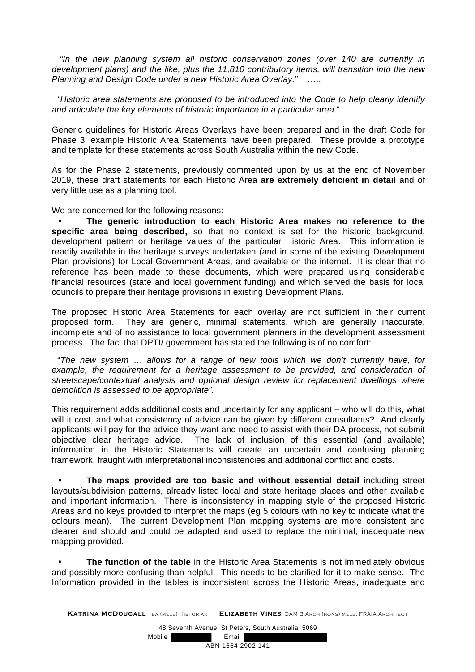*"In the new planning system all historic conservation zones (over 140 are currently in development plans) and the like, plus the 11,810 contributory items, will transition into the new Planning and Design Code under a new Historic Area Overlay."* …..

*"Historic area statements are proposed to be introduced into the Code to help clearly identify and articulate the key elements of historic importance in a particular area.*"

Generic guidelines for Historic Areas Overlays have been prepared and in the draft Code for Phase 3, example Historic Area Statements have been prepared. These provide a prototype and template for these statements across South Australia within the new Code.

As for the Phase 2 statements, previously commented upon by us at the end of November 2019, these draft statements for each Historic Area **are extremely deficient in detail** and of very little use as a planning tool.

We are concerned for the following reasons:

• **The generic introduction to each Historic Area makes no reference to the specific area being described,** so that no context is set for the historic background, development pattern or heritage values of the particular Historic Area. This information is readily available in the heritage surveys undertaken (and in some of the existing Development Plan provisions) for Local Government Areas, and available on the internet. It is clear that no reference has been made to these documents, which were prepared using considerable financial resources (state and local government funding) and which served the basis for local councils to prepare their heritage provisions in existing Development Plans.

The proposed Historic Area Statements for each overlay are not sufficient in their current proposed form. They are generic, minimal statements, which are generally inaccurate, incomplete and of no assistance to local government planners in the development assessment process. The fact that DPTI/ government has stated the following is of no comfort:

"*The new system … allows for a range of new tools which we don't currently have, for*  example, the requirement for a heritage assessment to be provided, and consideration of *streetscape/contextual analysis and optional design review for replacement dwellings where demolition is assessed to be appropriate".* 

This requirement adds additional costs and uncertainty for any applicant – who will do this, what will it cost, and what consistency of advice can be given by different consultants? And clearly applicants will pay for the advice they want and need to assist with their DA process, not submit objective clear heritage advice. The lack of inclusion of this essential (and available) information in the Historic Statements will create an uncertain and confusing planning framework, fraught with interpretational inconsistencies and additional conflict and costs.

• **The maps provided are too basic and without essential detail** including street layouts/subdivision patterns, already listed local and state heritage places and other available and important information. There is inconsistency in mapping style of the proposed Historic Areas and no keys provided to interpret the maps (eg 5 colours with no key to indicate what the colours mean). The current Development Plan mapping systems are more consistent and clearer and should and could be adapted and used to replace the minimal, inadequate new mapping provided.

• **The function of the table** in the Historic Area Statements is not immediately obvious and possibly more confusing than helpful. This needs to be clarified for it to make sense. The Information provided in the tables is inconsistent across the Historic Areas, inadequate and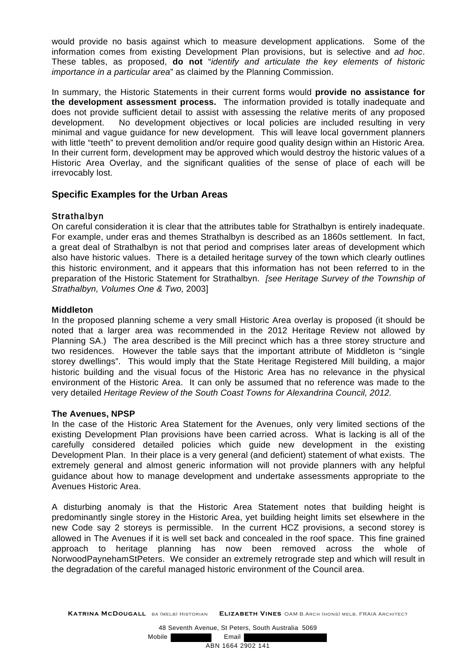would provide no basis against which to measure development applications. Some of the information comes from existing Development Plan provisions, but is selective and *ad hoc*. These tables, as proposed, **do not** "*identify and articulate the key elements of historic importance in a particular area*" as claimed by the Planning Commission.

In summary, the Historic Statements in their current forms would **provide no assistance for the development assessment process.** The information provided is totally inadequate and does not provide sufficient detail to assist with assessing the relative merits of any proposed development. No development objectives or local policies are included resulting in very minimal and vague guidance for new development. This will leave local government planners with little "teeth" to prevent demolition and/or require good quality design within an Historic Area. In their current form, development may be approved which would destroy the historic values of a Historic Area Overlay, and the significant qualities of the sense of place of each will be irrevocably lost.

## **Specific Examples for the Urban Areas**

## Strathalbyn

On careful consideration it is clear that the attributes table for Strathalbyn is entirely inadequate. For example, under eras and themes Strathalbyn is described as an 1860s settlement. In fact, a great deal of Strathalbyn is not that period and comprises later areas of development which also have historic values. There is a detailed heritage survey of the town which clearly outlines this historic environment, and it appears that this information has not been referred to in the preparation of the Historic Statement for Strathalbyn. *[see Heritage Survey of the Township of Strathalbyn, Volumes One & Two,* 2003]

## **Middleton**

In the proposed planning scheme a very small Historic Area overlay is proposed (it should be noted that a larger area was recommended in the 2012 Heritage Review not allowed by Planning SA.) The area described is the Mill precinct which has a three storey structure and two residences. However the table says that the important attribute of Middleton is "single storey dwellings". This would imply that the State Heritage Registered Mill building, a major historic building and the visual focus of the Historic Area has no relevance in the physical environment of the Historic Area. It can only be assumed that no reference was made to the very detailed *Heritage Review of the South Coast Towns for Alexandrina Council, 2012.* 

## **The Avenues, NPSP**

In the case of the Historic Area Statement for the Avenues, only very limited sections of the existing Development Plan provisions have been carried across. What is lacking is all of the carefully considered detailed policies which guide new development in the existing Development Plan. In their place is a very general (and deficient) statement of what exists. The extremely general and almost generic information will not provide planners with any helpful guidance about how to manage development and undertake assessments appropriate to the Avenues Historic Area.

A disturbing anomaly is that the Historic Area Statement notes that building height is predominantly single storey in the Historic Area, yet building height limits set elsewhere in the new Code say 2 storeys is permissible. In the current HCZ provisions, a second storey is allowed in The Avenues if it is well set back and concealed in the roof space. This fine grained approach to heritage planning has now been removed across the whole of NorwoodPaynehamStPeters. We consider an extremely retrograde step and which will result in the degradation of the careful managed historic environment of the Council area.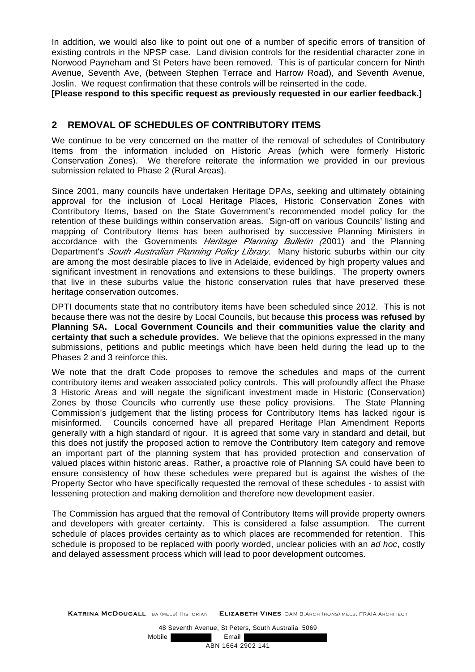In addition, we would also like to point out one of a number of specific errors of transition of existing controls in the NPSP case. Land division controls for the residential character zone in Norwood Payneham and St Peters have been removed. This is of particular concern for Ninth Avenue, Seventh Ave, (between Stephen Terrace and Harrow Road), and Seventh Avenue, Joslin. We request confirmation that these controls will be reinserted in the code.

**[Please respond to this specific request as previously requested in our earlier feedback.]** 

## **2 REMOVAL OF SCHEDULES OF CONTRIBUTORY ITEMS**

We continue to be very concerned on the matter of the removal of schedules of Contributory Items from the information included on Historic Areas (which were formerly Historic Conservation Zones). We therefore reiterate the information we provided in our previous submission related to Phase 2 (Rural Areas).

Since 2001, many councils have undertaken Heritage DPAs, seeking and ultimately obtaining approval for the inclusion of Local Heritage Places, Historic Conservation Zones with Contributory Items, based on the State Government's recommended model policy for the retention of these buildings within conservation areas. Sign-off on various Councils' listing and mapping of Contributory Items has been authorised by successive Planning Ministers in accordance with the Governments *Heritage Planning Bulletin (*2001) and the Planning Department's *South Australian Planning Policy Library*. Many historic suburbs within our city are among the most desirable places to live in Adelaide, evidenced by high property values and significant investment in renovations and extensions to these buildings. The property owners that live in these suburbs value the historic conservation rules that have preserved these heritage conservation outcomes.

DPTI documents state that no contributory items have been scheduled since 2012. This is not because there was not the desire by Local Councils, but because **this process was refused by Planning SA. Local Government Councils and their communities value the clarity and certainty that such a schedule provides.** We believe that the opinions expressed in the many submissions, petitions and public meetings which have been held during the lead up to the Phases 2 and 3 reinforce this.

We note that the draft Code proposes to remove the schedules and maps of the current contributory items and weaken associated policy controls. This will profoundly affect the Phase 3 Historic Areas and will negate the significant investment made in Historic (Conservation) Zones by those Councils who currently use these policy provisions. The State Planning Commission's judgement that the listing process for Contributory Items has lacked rigour is misinformed. Councils concerned have all prepared Heritage Plan Amendment Reports generally with a high standard of rigour. It is agreed that some vary in standard and detail, but this does not justify the proposed action to remove the Contributory Item category and remove an important part of the planning system that has provided protection and conservation of valued places within historic areas. Rather, a proactive role of Planning SA could have been to ensure consistency of how these schedules were prepared but is against the wishes of the Property Sector who have specifically requested the removal of these schedules - to assist with lessening protection and making demolition and therefore new development easier.

The Commission has argued that the removal of Contributory Items will provide property owners and developers with greater certainty. This is considered a false assumption. The current schedule of places provides certainty as to which places are recommended for retention. This schedule is proposed to be replaced with poorly worded, unclear policies with an *ad hoc*, costly and delayed assessment process which will lead to poor development outcomes.

Mobile **Email**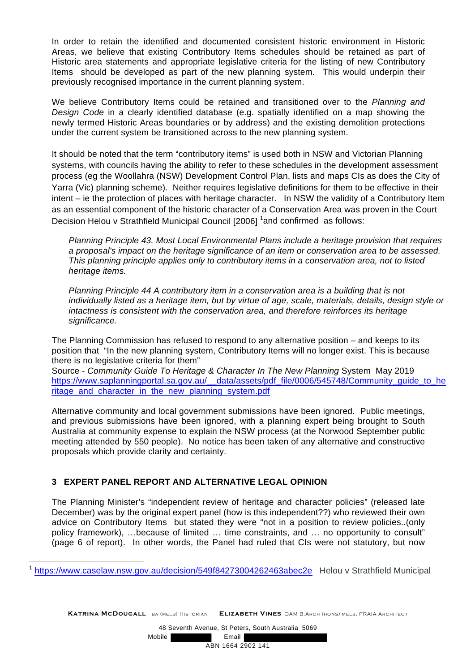In order to retain the identified and documented consistent historic environment in Historic Areas, we believe that existing Contributory Items schedules should be retained as part of Historic area statements and appropriate legislative criteria for the listing of new Contributory Items should be developed as part of the new planning system. This would underpin their previously recognised importance in the current planning system.

We believe Contributory Items could be retained and transitioned over to the *Planning and Design Code* in a clearly identified database (e.g. spatially identified on a map showing the newly termed Historic Areas boundaries or by address) and the existing demolition protections under the current system be transitioned across to the new planning system.

It should be noted that the term "contributory items" is used both in NSW and Victorian Planning systems, with councils having the ability to refer to these schedules in the development assessment process (eg the Woollahra (NSW) Development Control Plan, lists and maps CIs as does the City of Yarra (Vic) planning scheme). Neither requires legislative definitions for them to be effective in their intent – ie the protection of places with heritage character. In NSW the validity of a Contributory Item as an essential component of the historic character of a Conservation Area was proven in the Court Decision Helou v Strathfield Municipal Council [2006] <sup>1</sup>and confirmed as follows:

*Planning Principle 43. Most Local Environmental Plans include a heritage provision that requires a proposal's impact on the heritage significance of an item or conservation area to be assessed. This planning principle applies only to contributory items in a conservation area, not to listed heritage items.* 

*Planning Principle 44 A contributory item in a conservation area is a building that is not individually listed as a heritage item, but by virtue of age, scale, materials, details, design style or intactness is consistent with the conservation area, and therefore reinforces its heritage significance.* 

The Planning Commission has refused to respond to any alternative position – and keeps to its position that "In the new planning system, Contributory Items will no longer exist. This is because there is no legislative criteria for them"

Source - *Community Guide To Heritage & Character In The New Planning* System May 2019 https://www.saplanningportal.sa.gov.au/\_\_data/assets/pdf\_file/0006/545748/Community\_guide\_to\_he ritage and character in the new planning system.pdf

Alternative community and local government submissions have been ignored. Public meetings, and previous submissions have been ignored, with a planning expert being brought to South Australia at community expense to explain the NSW process (at the Norwood September public meeting attended by 550 people). No notice has been taken of any alternative and constructive proposals which provide clarity and certainty.

## **3 EXPERT PANEL REPORT AND ALTERNATIVE LEGAL OPINION**

 $\overline{a}$ 

The Planning Minister's "independent review of heritage and character policies" (released late December) was by the original expert panel (how is this independent??) who reviewed their own advice on Contributory Items but stated they were "not in a position to review policies..(only policy framework), …because of limited … time constraints, and … no opportunity to consult" (page 6 of report). In other words, the Panel had ruled that CIs were not statutory, but now

<sup>1</sup> https://www.caselaw.nsw.gov.au/decision/549f84273004262463abec2e Helou v Strathfield Municipal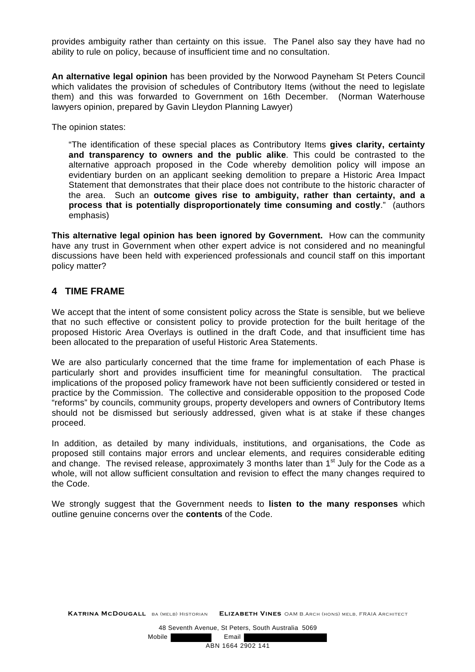provides ambiguity rather than certainty on this issue. The Panel also say they have had no ability to rule on policy, because of insufficient time and no consultation.

**An alternative legal opinion** has been provided by the Norwood Payneham St Peters Council which validates the provision of schedules of Contributory Items (without the need to legislate them) and this was forwarded to Government on 16th December. (Norman Waterhouse lawyers opinion, prepared by Gavin Lleydon Planning Lawyer)

The opinion states:

"The identification of these special places as Contributory Items **gives clarity, certainty and transparency to owners and the public alike**. This could be contrasted to the alternative approach proposed in the Code whereby demolition policy will impose an evidentiary burden on an applicant seeking demolition to prepare a Historic Area Impact Statement that demonstrates that their place does not contribute to the historic character of the area. Such an **outcome gives rise to ambiguity, rather than certainty, and a process that is potentially disproportionately time consuming and costly**." (authors emphasis)

**This alternative legal opinion has been ignored by Government.** How can the community have any trust in Government when other expert advice is not considered and no meaningful discussions have been held with experienced professionals and council staff on this important policy matter?

## **4 TIME FRAME**

We accept that the intent of some consistent policy across the State is sensible, but we believe that no such effective or consistent policy to provide protection for the built heritage of the proposed Historic Area Overlays is outlined in the draft Code, and that insufficient time has been allocated to the preparation of useful Historic Area Statements.

We are also particularly concerned that the time frame for implementation of each Phase is particularly short and provides insufficient time for meaningful consultation. The practical implications of the proposed policy framework have not been sufficiently considered or tested in practice by the Commission. The collective and considerable opposition to the proposed Code "reforms" by councils, community groups, property developers and owners of Contributory Items should not be dismissed but seriously addressed, given what is at stake if these changes proceed.

In addition, as detailed by many individuals, institutions, and organisations, the Code as proposed still contains major errors and unclear elements, and requires considerable editing and change. The revised release, approximately 3 months later than  $1<sup>st</sup>$  July for the Code as a whole, will not allow sufficient consultation and revision to effect the many changes required to the Code.

We strongly suggest that the Government needs to **listen to the many responses** which outline genuine concerns over the **contents** of the Code.